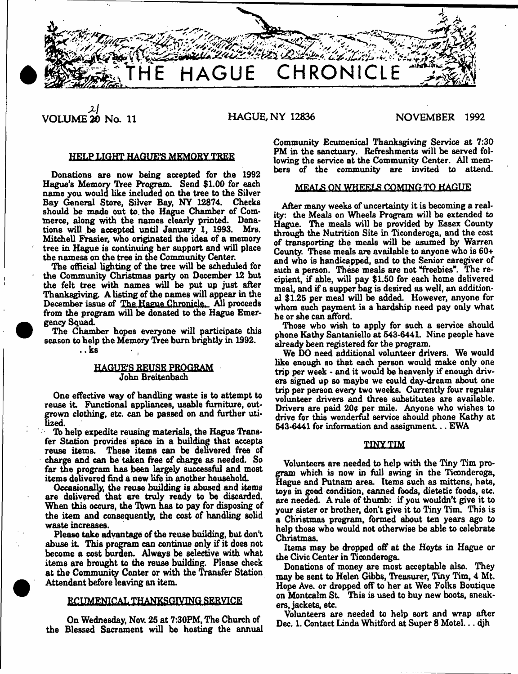

 $\mathbf{2}$ **VOLUME 20 No. 11 HAGUE, NY 12836 NOVEMBER 1992**

# HELP LIGHT HAGUE'S MEMORY TREE

Donations are now being accepted for the 1992 Hague's Memory Tree Program. Send \$1.00 for each name you would like included on the tree to the Silver Bay General Store, Silver Bay, NY 12874. Checks should be made out to. the Hague Chamber of Commerce, along with the names clearly printed. Donations will be accepted until January 1, 1993. Mrs. Mitchell Frasier, who originated the idea of a memory tree in Hague is continuing her support and will place the namess on the tree in the Community Center

The official lighting of the tree will be scheduled for the Community Christmas party on December 12 but the felt tree with names will be put up just after Thanksgiving. A listing of the names will appear in the December issue of The Hague Chronicle. All proceeds from the program will be donated to the Hague Emergency Squad.

The Chamber hopes everyone will participate this season to help the Memory Tree bum brightly in 1992. .. ks

# HAGUE'S REUSE PROGRAM John Breitenbach

One effective way of handling waste is to attempt to reuse it. Functional appliances, usable furniture, outgrown clothing, etc. can be passed on and further utilized.

To help expedite reusing materials, the Hague Transfer Station provides space in a building that accepts reuse items. These items can be delivered free of charge and can be taken free of charge as needed. So far the program has been largely successful and most items delivered find a new life in another household.

Occasionally, the reuse building is abused and items are delivered that are truly ready to be discarded. When this occurs, the Town has to pay for disposing of the item and consequently, the cost of handling solid waste increases.

Please take advantage of the reuse building, but don't abuse it. This program can continue only if it does not become a cost burden. Always be selective with what items are brought to the reuse building. Please check at the Community Center or with the Transfer Station Attendant before leaving an item.

# **ECUMENICAL THANKSGIVING SEBYICE**

On Wednesday, Nov. 26 at 7:30PM, The Church of the Blessed Sacrament will be hosting the annual

Community Ecumenical Thanksgiving Service at 7:30 PM in the sanctuary. Refreshments will be served following the service at the Community Center. All members of the community are invited to attend.

# MEALS ON WHEELS COMING TO HAGUE

After many weeks of uncertainty it is becoming a reality; the Meals on Wheels Program will be extended to Hague. The meals will be provided by Essex County through the Nutrition Site in Ticonderoga, and the cost of transporting the meals will be asumed by Warren County. These meals are available to anyone who is 60+ and who 1b handicapped, and to the Senior caregiver of such a person. These meals are not "freebies". The recipient, if able, will pay \$1.50 for each home delivered meal, and if a supper bag is desired as well, an additional \$1.25 per meal will be added. However, anyone for whom such payment is a hardship need pay only what he or she can afford.

Those who wish to apply for such a service should phone Kathy Santaniello at 543-6441. Nine people have already been registered for the program.

We DO need additional volunteer drivers. We would like enough so that each person would make only one trip per week - and it would be heavenly if enough drivers signed up so maybe we could day-dream about one trip per person every two weeks. Currently four regular volunteer drivers and three substitutes are available. Drivers are paid 20¢ per mile. Anyone who wishes to drive for this wonderful service should phone Kathy at 543-6441 for information and assignment... EWA

#### **1INX-TIM**

Volunteers are needed to help with the Tiny Tim program which is now in full swing in the Ticonderoga, Hague and Putnam area. Items such as mittens, hats, toys in good condition, canned foods, dietetic foods, etc. are needed. A rule of thumb: if you wouldn't give it to your sister or brother, don't give it to Tiny Tim. This is a Christmas program, formed about ten years ago to help those who would not otherwise be able to celebrate Christmas.

Items may be dropped off at the Hoyts in Hague or the Civic Center in Ticonderoga.

Donations of money are most acceptable also. They may be sent to Helen Gibbs, Treasurer, Tiny Tim, 4 Mt. Hope Ave. or dropped off to her at Wee Folks Boutique on Montcalm St. This is used to buy new boots, sneakers, jackets, etc.

Volunteers are needed to help sort and wrap after Dec. 1. Contact Linda Whitford at Super 8 Motel... djh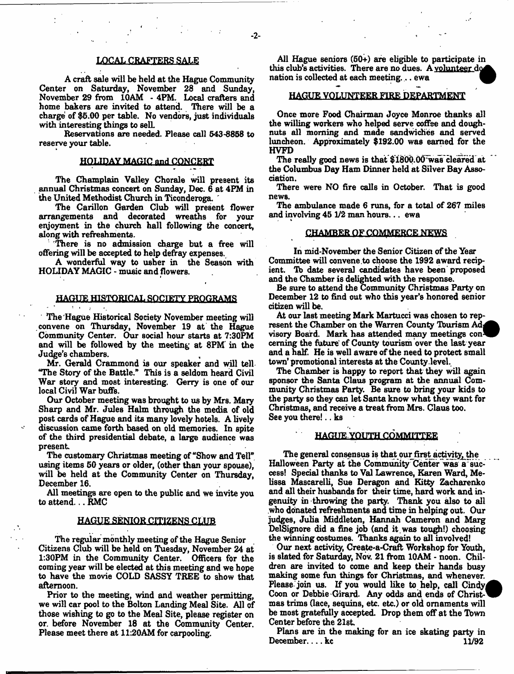# LOCAL CRAFTERS SALE

A craft sale will be held at the Hague Community Center on Saturday, November 28 and Sunday, November 29 from 10AM - 4PM. Local crafters and home bakers are invited to attend. There will be a charge of \$5.00 per table. No vendors, just individuals with interesting things to sell.

Reservations are needed. Please call 543-8858 to reserve your table.

# HOLIDAY MAGIC and CONCERT

The Champlain Valley Chorale will present its annual Christmas concert on Sunday, Dec. 6 at 4PM in the United Methodist Church in Ticonderoga. '

The Carillon Garden Club will present flower arrangements and decorated wreaths for your enjoyment in the church hall following the concert, along with refreshments.

There is no admission charge but a free will offering will be accepted to help defray expenses.

A wonderful way to usher in the Season with HOLIDAY MAGIC - music and flowers.

# HAGUE HISTORICAL SOCIETY PROGRAMS

The Hague Historical Society November meeting will convene on Thursday, November 19 at the Hague Community Center. Our social hour starts at 7:30PM and will be followed by the meeting at 8PM in the Judge's chambers.

Mr. Gerald Crammond is our speaker and will tell "The Story of the Battle." This is a seldom heard Civil War story and most interesting. Gerry is one of our local Civil War buffs.

Our October meeting was brought to us by Mrs. Mary Sharp and Mr. Jules Halm through the media of old post cards of Hague and its many lovely hotels. A lively discussion came forth based on old memories. In spite of the third presidential debate, a large audience was present

The customary Christmas meeting of "Show and Tell" using items 50 years or older, (other than your spouse). will be held at the Community Center on Thursday, December 16.

All meetings are open to the public and we invite you to attend... RMC

# HAGUE SENIOR CITIZENS CLUB

The regular monthly meeting of the Hague Senior Citizens Club will be held on Tuesday, November 24 at 1:30PM in the Community Center. Officers for the coming year will be elected at this meeting and we hope to have the movie COLD SASSY TREE to show that afternoon.

Prior to the meeting, wind and weather permitting, we will car pool to the Bolton Landing Meal Site. All of those wishing to go to the Meal Site, please register on or. before November 18 at the Community Center. Please meet there at 11:20AM for carpooling.

All Hague seniors (50+) are eligible to participate in this club's activities. There are no dues. A volunteer  $d\alpha$ nation is collected at each meeting... ewa

# HAGUE VOLUNTEER FIRE DEPARTMENT

Once more Food Chairman Joyce Monroe thanks all the willing workers who helped serve coffee and doughnuts all morning and made sandwiches and served luncheon. Approximately \$192.00 was earned for the HVFD ^

The really good news is that \$1800.00 was cleafed at the Columbus Day Ham Dinner held at Silver Bay Association.

There were NO fire calls in October. That is good news.

The ambulance made 6 runs, for a total of 267 miles and involving 45 1/2 man hours... ewa

### **CHAMBER OF COMMERCE NEWS**

In mid-November the Senior Citizen of the Year Committee will convene to choose the 1992 award recipient. Tb date several candidates have been proposed and the Chamber is delighted with the response.

Be sure to attend the Community Christmas Party on December 12 to find out who this year's honored senior citizen will be.

At our last meeting Mark Martucci was chosen to represent the Chamber on the Warren County Tourism Ad<sub>1</sub> visory Board. Mark has attended many meetings con ceming the future\* of County tourism over the last year and a half. He is well aware of the need to protect small town' promotional interests at the County level.

The Chamber is happy to report that they will again sponsor the Santa Claus program at the annual Community Christmas Party. Be sure to bring your kids to the party so they can let Santa know what they want for Christmas, and receive a treat from Mrs. Claus too. See you there!.. ks

# **HAGUE YOUTH COMMITTEE**

The general consensus is that our first activity, the Halloween Party at the Community Center was a success! Special thanks to Val Lawrence, Karen Ward, Melissa Mascarelli, Sue Deragon and Kitty Zacharenko and all their husbands for their time, hard work and ingenuity in throwing the party. Thank you also to all who donated refreshments and time in helping out. Our judges, Julia Middleton, Hannah Cameron and Marg DelSignore did a fine job (and it was tough!) choosing the winning costumes. Thanks again to all involved!

Our next activity, Create-a-Craft Workshop for Youth, is slated for Saturday, Nov. 21 from 10AM - noon. Children are invited to come and keep their hands busy making some fun things for Christmas, and whenever. Please join us. If you would like to help, call Cindy Coon or Debbie Girard. Any odds and ends of Christmas trims (lace, sequins, etc. etc.) or old ornaments will be most gratefully accepted. Drop them off at the Tbwn Center before the 21st.

Plans are in the making for an ice skating party in December.... $kc$  11/92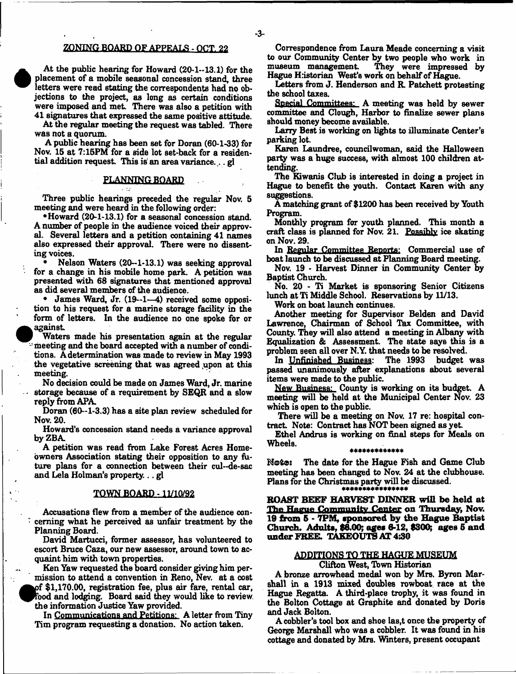# ZONING BOARD OF APPEALS - OCT. 22

At the public hearing for Howard (20-1-13.1) for the placement of a mobile seasonal concession stand, three letters were read stating the correspondents had no objections to the project, as long as certain conditions were imposed and met. There was also a petition with 41 signatures that expressed the same positive attitude.

At the regular meeting the request was tabled. There was not a quorum.

A public hearing has been set for Doran (60-1-33) for Nov. 15 at 7:15PM for a side lot set-back for a residential addition request. This is' an area variance.... gl

# **PLANNING BOARD**

Three public hearings preceded the regular Nov. 5 meeting and were heard in the following order:

•Howard (20-1-13.1) for a seasonal concession stand. A number of people in the audience voiced their approval. Several letters and a petition containing 41 names also expressed their approval. There were no dissenting voices.

• Nelson Waters (20-1-13.1) was seeking approval for a change in his mobile home park. A petition was presented with 68 signatures that mentioned approval as did several members of the audience.

• James Ward, Jr. (19—1—4) received some opposition to his request for a marine storage facility in the form of letters. In the audience no one spoke for or against

Waters made his presentation again at the regular meeting and the board accepted with a number of conditions. A determination was made to review in May 1993 the vegetative screening that was agreed upon at this meeting.

No decision could be made on James Ward, Jr. marine storage because of a requirement by SEQR and a slow reply from APA

Doran (60-1-3.3) has a site plan review scheduled for Nov. 20.

Howard's concession stand needs a variance approval byZBA

A petition was read from Lake Forest Acres Homeowners Association stating their opposition to any future plans for a connection between their cul-de-sac and Lela Holman's property... gl

# TOWN BOARD -11/10/92

Accusations flew from a member of the audience concerning what he perceived as unfair treatment by the Planning Board.

David Martucci, former assessor, has volunteered to escort Bruce Caza, our new assessor, around town to acquaint him with town properties.

Ken Yaw requested the board consider giving him permission to attend a convention in Reno, Nev. at a cost urf \$1,170.00, registration fee, plus air fare, rental car, food and lodging. Board said they would like to review. the information Justice Yaw provided.

In Communications and Petitions: A letter from Tiny Tim program requesting a donation. No action taken.

Correspondence from Laura Meade concerning a visit to our Community Center by two people who work in museum management They were impressed by Hague Historian West's work on behalf of Hague.

Letters from J. Henderson and R. Patchett protesting the school taxes.

special Committees: A meeting was held by sewer committee and Clough, Harbor to finalize sewer plans should money become available.

Larry Best is working on lights to illuminate Center's parking lot.

Karen Laundree, councilwoman, said the Halloween party was a huge success, with almost 100 children attending.

The Kiwanis Club is interested in doing a project in Hague to benefit the youth. Contact Karen with any suggestions.

A matching grant of \$1200 has been received by Youth Program.

Monthly program for youth planned. This month a craft class is planned for Nov. 21. Possibly ice skating on Nov. 29.

In Regular Committee Reports: Commercial use of boat launch to be discussed at Planning Board meeting.

Nov. 19 - Harvest Dinner in Community Center by Baptist Church.

No. 20 - Ti Market is sponsoring Senior Citizens lunch at Ti Middle School. Reservations by 11/13.

Work on boat launch continues.

Another meeting for Supervisor Belden and David Lawrence, Chairman of School Tax Committee, with County. They will also attend a meeting in Albany with Equalization & Assessment. The state says this is a problem seen all over N.Y. that needs to be resolved.<br>In Unfinished Business: The 1993 budget was

In Unfinished Business: passed unanimously after explanations about several items were made to the public.

New Business: County is working on its budget. A meeting will be held at the Municipal Center Nov. 23 which is open to the public.

There will be a meeting on Nov. 17 re: hospital contract. Note: Contract has NOT been signed as yet.

Ethel Andrus is working on final steps for Meals on Wheels.

#### \*\*\*\*\*\*\*\*\*\*\*\*\*

Note: The date for the Hague Fish and Game Club meeting has been changed to Nov. 24 at the clubhouse. Plans for the Christmas party will be discussed.

**ROAST BEEF HARVEST DINNER will be held at** The Hague Community Center on Thursday, Nov. **19 from 5 - 7PM, sponsored by the Hague Baptist Church. Adults, \$9.00; ages 6-12, \$300; ages 6 and under FREE. TAKEOUTS AT 4:30**

# ADDITIONS TO THE HAGUE MUSEUM

Clifton West, Town Historian

A bronze arrowhead medal won by Mrs. Byron Marshall in a 1913 mixed doubles rowboat race at the Hague Regatta. A third-place trophy, it was found in the Bolton Cottage at Graphite and donated by Doris and Jack Bolton.

A cobbler's tool box and shoe las,t once the property of George Marshall who was a cobbler. It was found in his cottage and donated by Mrs. Winters, present occupant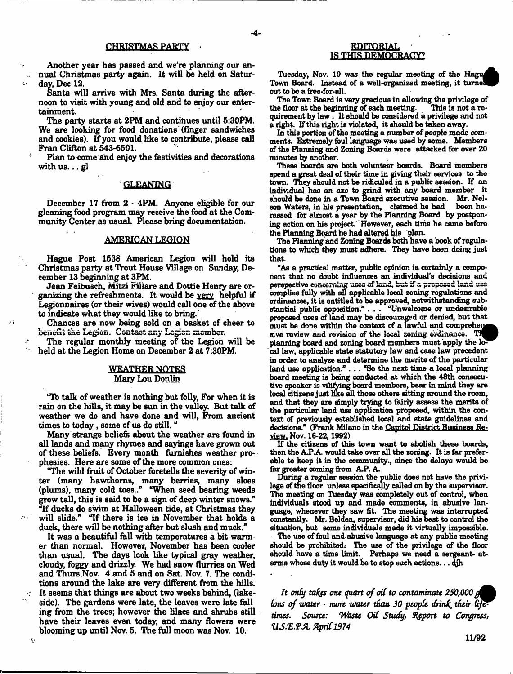# **CHRISTMAS PARTY**

Another year has passed and we're planning our annual Christmas party again. It will be held on Satur- $\mathcal{L}^{\mathcal{L}^{\mathcal{L}}}$ day, Dec 12.

Santa will arrive with Mrs. Santa during the afternoon to visit with young and old and to enjoy our entertainment.

The party starts at 2PM and continues until 5:30PM. We are looking for food donations (finger sandwiches and cookies). If you would like to contribute, please call Fran Clifton at 543-6501.

Plan to come and enjoy the festivities and decorations with  $\text{u}$ s... gl

# GLEANING

December 17 from 2 - 4PM. Anyone eligible for our gleaning food program may receive the food at the Community Center as usual. Please bring documentation.

# AMERICAN LEGION

Hague Post 1538 American Legion will hold its Christmas party at Trout House Village on Sunday, December 13 beginning at 3PM.

Jean Feibusch, Mitzi Fillare and Dottie Henry are organizing the refreshments. It would be very helpful if Legionnaires (or their wives) would call one of the above to indicate what they would like to bring.

Chances are now being sold on a basket of cheer to benefit the Legion. Contact any Legion member.

 $\ddotsc$ 

15

The regular monthly meeting of the Legion will be held at the Legion Home on December 2 at 7:30PM.

# WEATHER NOTES Mary Lon Doulin

"lb talk of weather iB nothing but folly, For when it is rain on the hills, it may be sun in the valley. But talk of weather we do and have done and will, From ancient times to today , some of us do still. "

Many strange beliefs about the weather are found in all lands and many rhymes and sayings have grown out of these beliefs. Every month furnishes weather prophesies. Here are some of the more common ones:

"The wild fruit of October foretells the severity of winter (many hawthorns, many berries, many sloes (plums), many cold toes.." "Wien seed bearing weeds grow tall, this is said to be a sign of deep winter snows." "If ducks do swim at Halloween tide, at Christmas they will slide." "If there is ice in November that holds a duck, there will be nothing after but slush and muck."

It was a beautiful fall with temperatures a bit warmer than normal. However, November has been cooler than usual. The days look like typical gray weather, cloudy, foggy and drizzly. We had snow flurries on Wed and Thurs.Nov. 4 and 5 and on Sat. Nov. 7. The conditions around the lake are very different from the hills. It seems that things are about two weeks behind, (lakeside). The gardens were late, the leaves were late falling from the trees; however the lilacs and shrubs still have their leaves even today, and many flowers were blooming up until Nov. 5. The full moon was Nov. 10.

# **EDUQRIAL** IS THIS DEMOCRACY?

Tuesday, Nov. 10 was the regular meeting of the Hagu Town Board. Instead of a well-organized meeting, it turned out to be a free-for-all.

The Town Board is very gracious in allowing the privilege of the floor at the beginning of each meeting. quirement by law . It should be considered a privilege and not a right. If this right is violated, it should be taken away.

In this portion of the meeting a number of people made comments. Extremely foul language was used by some. Members of the Planning and Zoning Boards were attacked for over 20 minutes by another.

These boards are both volunteer boards. Board members spend agreat deal of their time in giving their services to the town. They should not be ridiculed in a public session. If an individual has an axe to grind with any board member it should be done in a Town Board executive session. Mr. Nel-<br>son Waters, in his presentation. claimed he had been hason Waters, in his presentation, claimed he had rassed for almost a year by the Planning Board by postponing action on his project. However, each time he came before the Planning Board he had altered his plan.

The Planning and Zoning Boards both have a book of regulations to which they must adhere. They have been doing just that.

"As a practical matter, public opinion is. certainly a component that no doubt influences an individual's decisions and perspective concerning uses of land, but if a proposed land uss complies fully with all applicable local zoning regulations and ordinances, it is entitled to be approved, notwithstanding substantial public opposition." . . . "Unwelcome or undesirable proposed uses of land may be discouraged or denied, but that must be done within the context of a lawful and compreher sive review and revision of the local zoning ordinance. The  $\mathbf B$ planning board and zoning board members must apply the local law, applicable state statutory law and case law precedent in order to analyze and determine the merits of the particular land use application." . .. "So the next time a local planning board meeting is being conducted at which the 48th consecutive speaker is vilifying board members, bear in mind they are local citizens just like all those others sitting around the room, and that they are simply trying to fairly assess the merits of the particular land use application proposed, within the context of previously established local and state guidelines and decisions." (Frank Milano in the Capitol District Business Review. Nov. 16-22,1992)

If the citizens of this town want to abolish these boards, then the A.P.A. would take over all the zoning. It is far preferable to keep it in the community., since the delays would be far greater coming from A.P. A.

During a regular session the public does not have the privilege of the floor unless specifically called on by the supervisor. The meeting on Tuesday was completely out of control, when individuals stood up and made comments, in abusive language, whenever they saw fit. The meeting was interrupted constantly. Mr. Belden, supervisor, did his best to control the situation, but some individuals made it virtually impossible.

The use of foul and abusive language at any public meeting should be prohibited; The use of the privilege of the floor should have a time limit. Perhaps we need a sergeant- atarms whose duty it would be to stop such actions... djh

It only takes one quart of oil to contaminate 250,000 g lons of water *• more water than 30 people drink their life times. Source: 'Waste Oil Study, fyport to Congress, 'US.'E.TJL April 1974*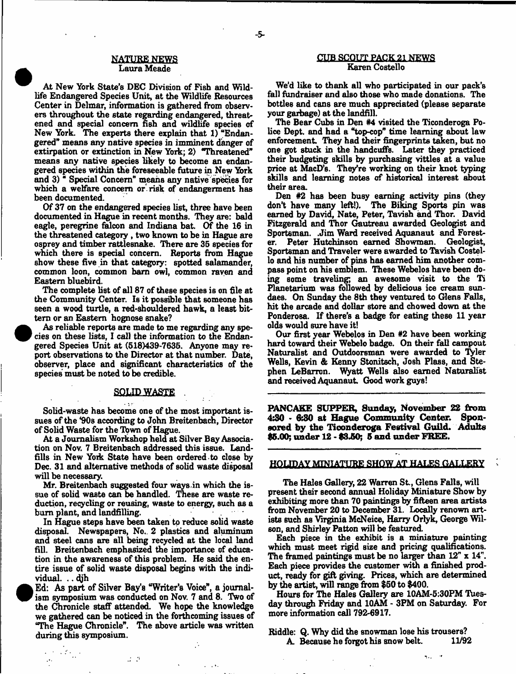# **NATURE NEWS** Laura Meade

At New York State's DEC Division of Pish and Wildlife Endangered Species Unit, at the Wildlife Resources Center in Delmar, information is gathered from observers throughout the state regarding endangered, threatened and special concern fish and wildlife species of New York. The experts there explain that 1) "Endangered" means any native species in imminent danger of extirpation or extinction in New *York;* 2) "Threatened" means any native species likely to become an endangered species within the foreseeable future in New York and 3) \* Special Concern" means any native species for which a welfare concern or risk of endangerment has been documented.

Of 37 on the endangered species list, three have been documented in Hague in recent months. They are: bald eagle, peregrine falcon and Indiana bat. Of the 16 in the threatened category , two known to be in Hague are osprey and timber rattlesnake. There are 35 species for which there is special concern. Reports from Hague show these five in that category: spotted salamander, common loon, common barn owl, common raven and Eastern bluebird.

The complete list of all 87 of these species is on file at the Community Center. Is it possible that someone has seen a wood turtle, a red-shouldered hawk, a least bittern or an Eastern hognose snake?

 As reliable reports are made to me regarding any species on these lists, I call the information to the Endangered Species Unit at (518)439-7635. Anyone may report observations to the Director at that number. Date, observer, place and significant characteristics of the species must be noted to be credible.

**•** 

<sup>•</sup>

 $\sim 100$ 

# **SOLID-WASTE**

Solid-waste has become one of the most important issues of the \*90s according to John Breitenbach, Director of Solid Waste for the Town of Hague.

At a Journalism Workshop held at Silver Bay Association on Nov. 7 Breitenbach addressed this issue. Landfills in New York State have been ordered to close by Dec. 31 and alternative methods of solid waste disposal will be necessary.

Mr. Breitenbach suggested four ways in which the issue of solid waste can be handled. These are waste reduction, recycling or reusing, waste to energy, such as a bum plant, and landfilling.

In Hague steps have been taken to reduce solid waste disposal. Newspapers, No.. 2 plastics and aluminum and steel cans are all being recycled at the local land fill. Breitenbach emphasized the importance of education in the awareness of this problem. He said the entire issue of solid waste disposal begins with the individual. .. djh

 Ed: As part of Silver Bay's "Writer's Voice", a journalism symposium was conducted on Nov. 7 and 8. Two of the Chronicle staff attended. We hope the knowledge we gathered can be noticed in the forthcoming issues of "The Hague Chronicle". The above article was written during this symposium.

 $\sim 10^4$ 

# CUB SCOUT PACK 21 NEWS Karen Costello

We'd like to thank all who participated in our pack's fall fundraiser and also those who made donations. The bottles and cans are much appreciated (please separate your garbage) at the landfill.

The Bear Cubs in Den #4 visited the Ticonderoga Police Dept, and had a "top-cop" time learning about law enforcement. They had their fingerprints taken, but no one got stuck in the handcuffs. Later they practiced their budgeting skills by purchasing vittles at a value price at MacD's. They're working on their knot typing skills and learning notes of historical interest about their area.

Den #2 has been busy earning activity pins (they don't have many left!). The Biking Sports pin was earned by David, Nate, Peter, Tavish and Thor. David Fitzgerald and Thor Gautreau awarded Geologist and Sportsman. .Jim Ward received Aquanaut and Forester. Peter Hutchinson earned Showman. Geologist, Sportsman and Traveler were awarded to Tavish Costello and his number of pins has earned him another compass point on his emblem. These Webelos have been doing some traveling; an awesome visit to the Ti Planetarium was followed by delicious ice cream sundaes. On Sunday the 8th they ventured to Glens Falls, hit the arcade and dollar store and chowed down at the Ponderosa. If there's a badge for eating these 11 year olds would sure have it!

Our first year Webelos in Den #2 have been working hard toward their Webelo badge. On their fall campout Naturalist and Outdoorsman were awarded to Tyler Wells, Kevin & Kenny Stonitsch, Josh Plass, and Stephen LeBarron. Wyatt Wells also earned Naturalist and received Aquanaut. Good work guys!

**PANCAKE SUPPER, Sunday, November 22 from 4\$0 - &80 at Hague Community Center. Sponsored by the Ticonderoga Festival Guild. Adults \$5.00; under 12 - \$3.50; 5 and under FREE.**

# HOLIDAY MINIATURE SHOW AT HALES GALLERY

The Hales Gallery, 22 Warren St., Glens Falls, will present their second annual Holiday Miniature Show by exhibiting more than 70 paintings by fifteen area artists from November 20 to December 31. Locally renown artists such as Virginia McNeice, Harry Orlyk, George Wilson, and Shirley Patton will be featured.

Each piece in the exhibit is a miniature painting which must meet rigid size and pricing qualifications. The framed paintings must be no larger than 12" x 14". Each piece provides the customer with a finished product, ready for gift giving. Prices, which are determined by the artist, will range from \$50 to \$400.

Hours for The Hales Gallery are 10AM-5:30PM Tuesday through Friday and 10AM - 3PM on Saturday. For more information call 792-6917.

 $\sigma_{\rm max} = 0.5$ 

Riddle: Q. Why did the snowman lose his trousers?<br>A. Because he forgot his snow belt. 11/92 A. Because he forgot his snow belt.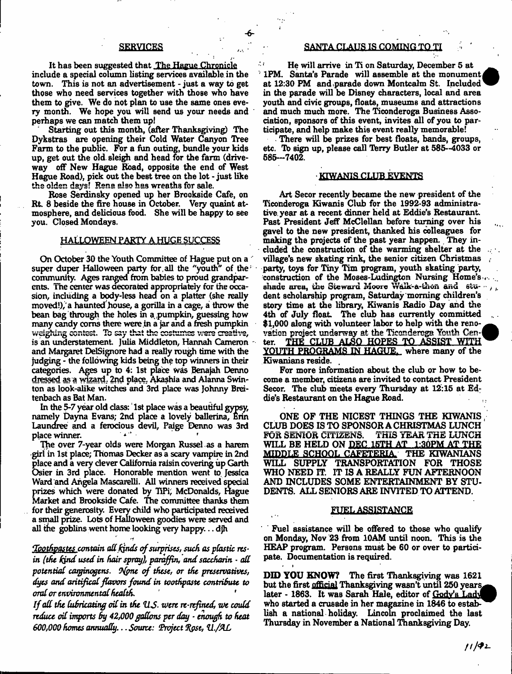It has been suggested that The Hague Chronicle include a special column listing services available in the town. This is not an advertisement - just a way to get those who need services together with those who have them to give. We do not plan to use the same ones every month. We hope you will send us your needs and perhaps we can match them up!

Starting out this month, (after Thanksgiving) The Dykstras are opening their Cold Water Canyon Tree Farm to the public. For a fun outing, bundle your kids up, get out the old. sleigh and head for the farm (driveway off New Hague Road, opposite the end of West Hague Road), pick out the best tree on the lot - just like the olden days! Rena also has wreaths for sale.

Rose Serdinsky opened up her Brookside Cafe, on Rt. 8 beside the fire house in October. Very quaint atmosphere, and delicious food. She will be happy to see you. Closed Mondays.

# HALLOWEEN PARTY A HUGE SUCCESS

On October 30 the Youth Committee of Hague put on a super duper Halloween party for all the "youth" of the community. Ages ranged from babies to proud grandparents. The center was decorated appropriately for the occasion, including a body-less head on a platter (she really moved!),'a haunted house, a gorilla in a cage, a throw the bean bag through the holes in a pumpkin, guessing how many candy corns there were in a jar and a fresh pumpkin weighing contest. To say that the costumes were creative, is an understatement. Julia Middleton, Hannah Cameron and Margaret DelSignore had a really rough time with the judging - the following kids being the top winners in their categories. Ages up to 4: 1st place was Benajah Denno drased as a wizard. 2nd place, Akashia and Alanna Swinton as look-alike witches and 3rd place was Johnny Breitenbach as Bat Man.

In the 5-7 year old class: 1st place was a beautiful gypsy, namely Dayna Evans; 2nd place a lovely ballerina, Erin Laundree and a ferocious devil, Paige Denno was 3rd place winner.

The over 7-year olds were Morgan Russel as a harem girl in 1st place; Thomas Decker as a scary vampire in 2nd place and a very clever California raisin covering up Garth Osier in 3rd place. Honorable mention went to. Jessica Ward and Angela Mascarelli. All winners received special prizes which were donated by TiPi, McDonalds, Hague Market and Brookside Cafe. The committee thanks them for their generosity. Every child who participated received a small prize. Lots of Halloween goodies were served and all the goblins went home looking very happy... djh

<u>Toothpastes c</u>ontain all kinds of surprises, such as plastic res*in (the hind used in hair spray), paraffin, and saccharin* - *all potential carginogens. Ofpne o f these*, *or the preservatives, dyes and aritifical flavors found in toothpaste contribute to oral or environmental health. \**

*If all the lubricating oil in the U.S. were re-refined, we could reduce oil imports By 42,000gallons per day ■ enough to heat 600,000 homes annually... Source: Project %g\$e, 41./&L*

# **SERVICES SANTA CLAUS IS COMING TO TI**

He will arrive in Ti on Saturday, December 5 at 1PM. Santa's Parade will assemble at the monument at 12:30 PM and parade down Montcalm St. Included in the parade will be Disney characters, local and area youth and civic groups, floats, museums and attractions and much much more. The Ticonderoga Business Association, sponsors of this event, invites all of you to participate, and help make this event really memorable!

There will be prizes for best floats, bands, groups, etc. Tb sign up, please call Tarry Butler at 585-4033 or 686—7402.

# KIWANIS CLUB EVENTS

Art Secor recently became the new president of the Ticonderoga Kiwanis Club for the 1992-93 administrative. year at a recent dinner held at Eddie's Restaurant. Past President Jeff McClellan before turning over his gavel to the new president, thanked his colleagues for making the projects of the past year happen. They included the construction of the warming shelter at the village's new skating rink, the senior citizen Christmas party, toys for Tiny Tim program, youth skating party, construction of the Moses-Ludington Nursing Home's... shade area, the Steward Moore Walk-a-thon and stu- $\cdots$  , dent scholarship program, Saturday morning children's story time at the library, Kiwanis Radio Day and the 4th of July float The club has currently committed \$1,000 along with volunteer labor to help with the renovation project underway at the Ticondercga Youth Cen-( ter. THE CLUB ALSO HOPES TO ASSIST WITH YOUTH PROGRAMS IN HAGUE, where many of the Kiwanians reside. .

For more information about the club or how to become a member, citizens are invited to contact President Secor. The club meets every Thursday at 12:15 at Ed; die's Restaurant on the Hague Road.

ONE OF THE NICEST THINGS THE KIWANIS CLUB DOES IS TO SPONSOR A CHRISTMAS LUNCH<br>FOR SENIOR CITIZENS. THIS YEAR THE LUNCH THIS YEAR THE LUNCH WILL BE HELD ON DEC 15TH AT 1:30PM AT THE MIDDLE SCHOOL CAFETERIA THE KIWANIANS WILL SUPPLY TRANSPORTATION FOR THOSE WHO NEED IT. IT IS A REALLY FUN AFTERNOON AND INCLUDES SOME ENTERTAINMENT BY STU-DENTS. ALL SENIORS ARE INVITED TO ATTEND.

# FUEL ASSISTANCE

Fuel assistance will be offered to those who qualify on Monday, Nov 23 from 10AM until noon. This is the HEAP program. Persons must be 60 or over to participate. Documentation is required.

\* *t*

DID YOU KNOW? The first Thanksgiving was 1621 but the first <u>official</u> Thanksgiving wasn't until 250 years later - 1863. It was Sarah Hale, editor of Gody's Lady who started a crusade in her magazine in 1846 to establish a national holiday. Lincoln proclaimed the last Thursday in November a National Thanksgiving Day.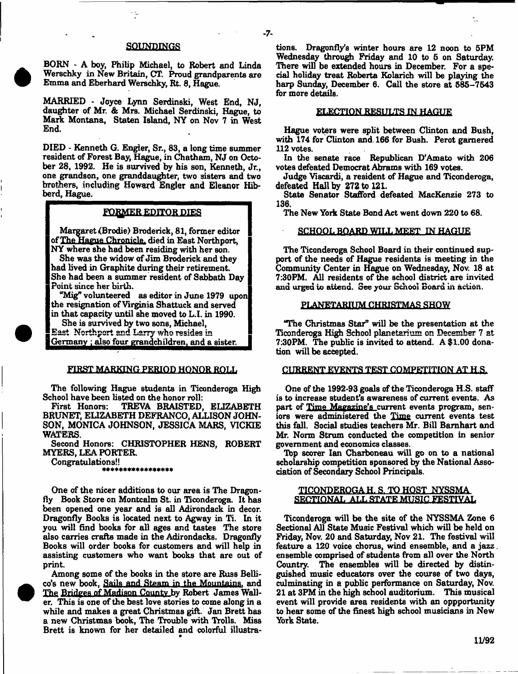# SQUNPINGS

BORN - A boy, Philip Michael, to Robert and Linda Werschky in New Britain, CT. Proud grandparents are Emma and Eberhard Werschky, Rt. 8, Hague.

MARRIED - Joyce Lynn Serdinski, West End, NJ, daughter of Mr. & Mrs. Michael Serdinski, Hague, to Mark Montana, Staten Island, NY on Nov 7 in West End.

DIED - Kenneth G. Engier, Sr., 83, a long time summer resident of Forest Bay, Hague, in Chatham, NJ on October 28, 1992. He is survived by his son, Kenneth, Jr., one grandson, one granddaughter, two sisters and two brothers, including Howard Engier and Eleanor Hibberd, Hague.

# FORMER EDITOR DIES

Margaret {Brodie) Broderick, 81, former editor of The Hague Chronicle, died in East Northport, NY where she had been residing with her son.

She was the widow of Jim Broderick and they had lived in Graphite during their retirement. She had been a summer resident of Sabbath Day Point since her birth.

"Mig" volunteered as editor in June 1979 upon the resignation of Virginia Shattuck and served in that capacity until she moved to L.I. in 1990.

She is survived by two sons, Michael, East Northport and Lsrry who resides in

Germany ; also four grandchildren, and a sister.

# FIRST MARKING PERIOD HONOR ROLL

The following Hague students in Ticonderoga High School have been listed on the honor roll:

TREVA BRAISTED, ELIZABETH BRUNET, ELIZABETH DEFRANCO, ALLISON JOHN-SON, MONICA JOHNSON, JESSICA MARS, VICKIE WATERS.

Second Honors: CHRISTOPHER HENS, ROBERT MYERS, LEA PORTER.

Congratulations!!<br>\*\*\*\*\*\*\*\*\*\*\*\*\*\*\*\*\*\*\*

One of the nicer additions to our area is The Dragonfly Book Store on Montcalm St. in Ticonderoga. It has been opened one year and is all Adirondack in decor. Dragonfly Books is located next to Agway in Ti. In it you will find books for all ages and tastes The store also carries crafts made in the Adirondacks. Dragonfly Books will order books for customers and will help in assisting customers who want books that are out of print.

Among some of the books in the store are Russ Bellico's new book, Sails and Steam in the Mountains. and The Bridges of Madison County by Robert James Waller. This is one of the best love stories to come along in a while and makes a great Christmas gift. Jan Brett has a new Christmas book, The Trouble with Trolls. Miss Brett is known for her detailed and colorful illustrations. Dragonfly's winter hours are 12 noon to 5PM Wednesday through Friday and 10 to 5 on Saturday. There will be extended hours in December. For a special holiday treat Roberta Kolarich will be playing the harp Sunday, December 6. Call the store at 585-7543 for more details.

# ELECTION RESULTS IN HAGUE

Hague voters were split between Clinton and Bush, with 174 for Clinton and. 166 for Bush. Perot garnered 112 votes.

In the senate race Republican D'Amato with 206 votes defeated Democrat Abrams with 169 votes.

Judge Viscardi, a resident of Hague and Ticonderoga, defeated Hall by 272 to 121.

State Senator Stafford defeated MacKenzie 273 to 136.

The New York State Bond Act went down 220 to 68.

#### SCHOOL BOARD WILL MEET IN HAGUE

The Ticonderoga School Board in their continued support of the needs of Hague residents is meeting in the Community Center in Hague on Wednesday, Nov. 18 at 7:30PM. All residents of the school district are invited and urged to attend. See your School Board in action.

# PLANETARIUM CHRISTMAS SHOW

'The Christmas Star" will be the presentation at the Ticonderoga High School planetarium on December 7 at 7:30PM. The public is invited to attend. A \$1.00 donation will be accepted.

# CURRENT EVENTS TEST COMPETITION AT H.S.

One of the 1992-93 goals of the Ticonderoga H.S. staff is to increase student's awareness of current events. As part of Time Magazine's current events program, seniors were administered the Time current events test this fall. Social studies teachers Mr. Bill Barnhart and Mr. Norm Strum conducted the competition in senior government and economics classes.

Tbp scorer Ian Charboneau will go on to a national scholarship competition sponsored by the National Association of Secondary School Principals.

# TICONDEROGA H. S. TO HOST NYSSMA SECTIONAL ALL STATE MUSIC FESTIVAL

Ticonderoga will be the site of the NYSSMA Zone 6 Sectional All State Music Festival which will be held on Friday, Nov. 20 and Saturday, Nov 21. The festival will feature a 120 voice chorus, wind ensemble, and a jazz. ensemble comprised of students from all over the North Country. The ensembles will be directed by distinguished music educators over the course of two days, culminating in a public performance on Saturday, Nov. 21 at 3PM in the high school auditorium. This musical event will provide area residents with an oppportunity to hear some of the finest high school musicians in New York State.